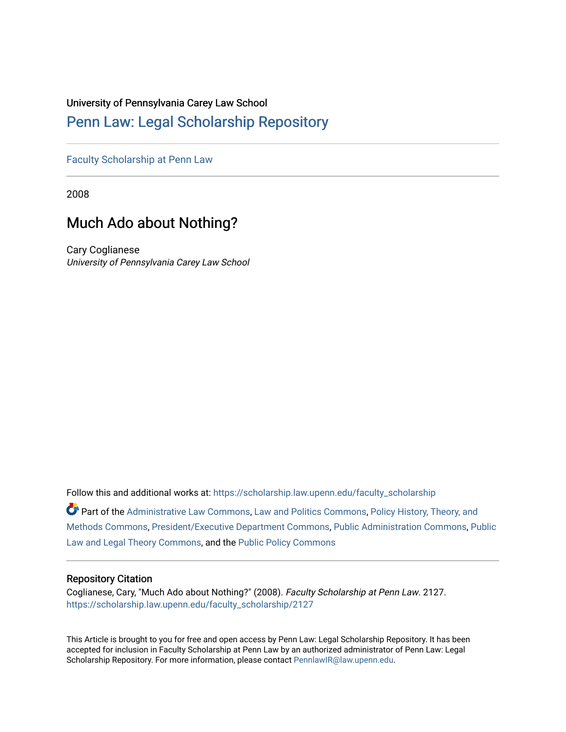## University of Pennsylvania Carey Law School

# [Penn Law: Legal Scholarship Repository](https://scholarship.law.upenn.edu/)

[Faculty Scholarship at Penn Law](https://scholarship.law.upenn.edu/faculty_scholarship)

2008

# Much Ado about Nothing?

Cary Coglianese University of Pennsylvania Carey Law School

Follow this and additional works at: [https://scholarship.law.upenn.edu/faculty\\_scholarship](https://scholarship.law.upenn.edu/faculty_scholarship?utm_source=scholarship.law.upenn.edu%2Ffaculty_scholarship%2F2127&utm_medium=PDF&utm_campaign=PDFCoverPages) 

Part of the [Administrative Law Commons,](http://network.bepress.com/hgg/discipline/579?utm_source=scholarship.law.upenn.edu%2Ffaculty_scholarship%2F2127&utm_medium=PDF&utm_campaign=PDFCoverPages) [Law and Politics Commons,](http://network.bepress.com/hgg/discipline/867?utm_source=scholarship.law.upenn.edu%2Ffaculty_scholarship%2F2127&utm_medium=PDF&utm_campaign=PDFCoverPages) [Policy History, Theory, and](http://network.bepress.com/hgg/discipline/1036?utm_source=scholarship.law.upenn.edu%2Ffaculty_scholarship%2F2127&utm_medium=PDF&utm_campaign=PDFCoverPages) [Methods Commons,](http://network.bepress.com/hgg/discipline/1036?utm_source=scholarship.law.upenn.edu%2Ffaculty_scholarship%2F2127&utm_medium=PDF&utm_campaign=PDFCoverPages) [President/Executive Department Commons,](http://network.bepress.com/hgg/discipline/1118?utm_source=scholarship.law.upenn.edu%2Ffaculty_scholarship%2F2127&utm_medium=PDF&utm_campaign=PDFCoverPages) [Public Administration Commons](http://network.bepress.com/hgg/discipline/398?utm_source=scholarship.law.upenn.edu%2Ffaculty_scholarship%2F2127&utm_medium=PDF&utm_campaign=PDFCoverPages), [Public](http://network.bepress.com/hgg/discipline/871?utm_source=scholarship.law.upenn.edu%2Ffaculty_scholarship%2F2127&utm_medium=PDF&utm_campaign=PDFCoverPages)  [Law and Legal Theory Commons,](http://network.bepress.com/hgg/discipline/871?utm_source=scholarship.law.upenn.edu%2Ffaculty_scholarship%2F2127&utm_medium=PDF&utm_campaign=PDFCoverPages) and the [Public Policy Commons](http://network.bepress.com/hgg/discipline/400?utm_source=scholarship.law.upenn.edu%2Ffaculty_scholarship%2F2127&utm_medium=PDF&utm_campaign=PDFCoverPages)

### Repository Citation

Coglianese, Cary, "Much Ado about Nothing?" (2008). Faculty Scholarship at Penn Law. 2127. [https://scholarship.law.upenn.edu/faculty\\_scholarship/2127](https://scholarship.law.upenn.edu/faculty_scholarship/2127?utm_source=scholarship.law.upenn.edu%2Ffaculty_scholarship%2F2127&utm_medium=PDF&utm_campaign=PDFCoverPages)

This Article is brought to you for free and open access by Penn Law: Legal Scholarship Repository. It has been accepted for inclusion in Faculty Scholarship at Penn Law by an authorized administrator of Penn Law: Legal Scholarship Repository. For more information, please contact [PennlawIR@law.upenn.edu.](mailto:PennlawIR@law.upenn.edu)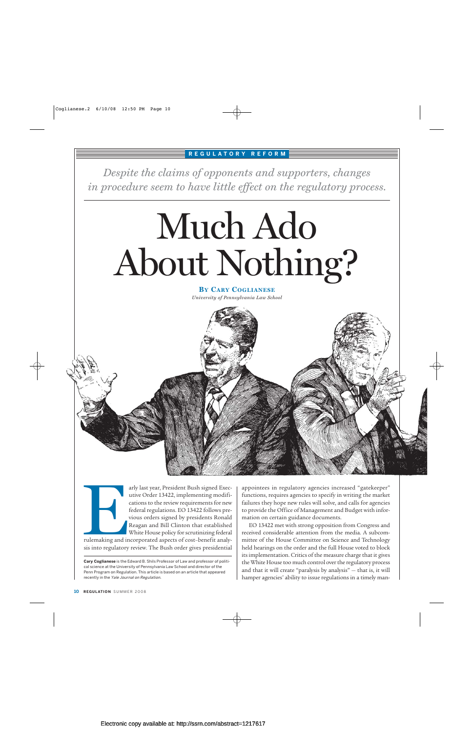## **REGULATORY REFORM**

*Despite the claims of opponents and supporters, changes in procedure seem to have little effect on the regulatory process.*

# Much Ado About Nothing?

**BY CARY COGLIANESE** *University of Pennsylvania Law School*



arly last year, President Bush signed Executive Order 13422, implementing modifications to the review requirements for new federal regulations. EO 13422 follows previous orders signed by presidents Ronald Reagan and Bill Clinton that established White House policy for scrutinizing federal rulemaking and incorporated aspects of cost–benefit analysis into regulatory review. The Bush order gives presidential Franchistan and international and international contractions and the state of the state of the state of the state of the state of the state of the state of the state of the state of the state of the state of the state of t

**Cary Coglianese** is the Edward B. Shils Professor of Law and professor of political science at the University of Pennsylvania Law School and director of the Penn Program on Regulation. This article is based on an article that appeared recently in the Yale Journal on Regulation.

appointees in regulatory agencies increased "gatekeeper" functions, requires agencies to specify in writing the market failures they hope new rules will solve, and calls for agencies to provide the Office of Management and Budget with information on certain guidance documents.

EO 13422 met with strong opposition from Congress and received considerable attention from the media. A subcommittee of the House Committee on Science and Technology held hearings on the order and the full House voted to block its implementation. Critics of the measure charge that it gives the White House too much control over the regulatory process and that it will create "paralysis by analysis" — that is, it will hamper agencies' ability to issue regulations in a timely man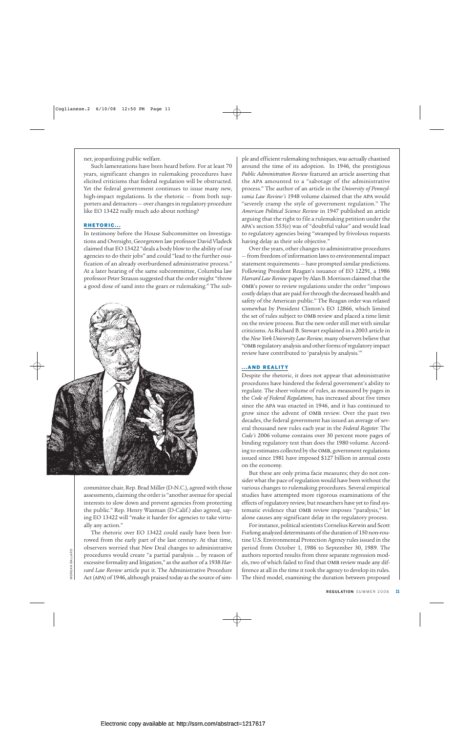ner, jeopardizing public welfare.

Such lamentations have been heard before. For at least 70 years, significant changes in rulemaking procedures have elicited criticisms that federal regulation will be obstructed. Yet the federal government continues to issue many new, high-impact regulations. Is the rhetoric — from both supporters and detractors — over changes in regulatory procedure like EO 13422 really much ado about nothing?

#### RHETORIC...

In testimony before the House Subcommittee on Investigations and Oversight, Georgetown law professor David Vladeck claimed that EO 13422 "deals a body blow to the ability of our agencies to do their jobs" and could "lead to the further ossification of an already overburdened administrative process." At a later hearing of the same subcommittee, Columbia law professor Peter Strauss suggested that the order might "throw a good dose of sand into the gears or rulemaking." The sub-



committee chair, Rep. Brad Miller (D-N.C.), agreed with those assessments, claiming the order is "another avenue for special interests to slow down and prevent agencies from protecting the public." Rep. Henry Waxman (D-Calif.) also agreed, saying EO 13422 will "make it harder for agencies to take virtually any action."

The rhetoric over EO 13422 could easily have been borrowed from the early part of the last century. At that time, observers worried that New Deal changes to administrative procedures would create "a partial paralysis … by reason of excessive formality and litigation," as the author of a 1938 *Harvard Law Review* article put it. The Administrative Procedure Act (apa) of 1946, although praised today as the source of simple and efficient rulemaking techniques, was actually chastised around the time of its adoption. In 1946, the prestigious *Public Administration Review* featured an article asserting that the apa amounted to a "sabotage of the administrative process." The author of an article in the *University of Pennsylvania Law Review's* 1948 volume claimed that the apa would "severely cramp the style of government regulation." The *American Political Science Review* in 1947 published an article arguing that the right to file a rulemaking petition under the apa's section 553(e) was of "doubtful value" and would lead to regulatory agencies being "swamped by frivolous requests having delay as their sole objective."

Over the years, other changes to administrative procedures — from freedom of information laws to environmental impact statement requirements — have prompted similar predictions. Following President Reagan's issuance of EO 12291, a 1986 *Harvard Law Review*paper by Alan B. Morrison claimed that the OMB's power to review regulations under the order "imposes costly delays that are paid for through the decreased health and safety of the American public." The Reagan order was relaxed somewhat by President Clinton's EO 12866, which limited the set of rules subject to OMB review and placed a time limit on the review process. But the new order still met with similar criticisms. As Richard B. Stewart explained in a 2003 article in the *New York University Law Review,* many observers believe that "omb regulatory analysis and other forms of regulatory impact review have contributed to 'paralysis by analysis.'"

#### ...AND REALITY

Despite the rhetoric, it does not appear that administrative procedures have hindered the federal government's ability to regulate. The sheer volume of rules, as measured by pages in the *Code of Federal Regulations,* has increased about five times since the apa was enacted in 1946, and it has continued to grow since the advent of omb review. Over the past two decades, the federal government has issued an average of several thousand new rules each year in the *Federal Register.* The *Code's* 2006 volume contains over 30 percent more pages of binding regulatory text than does the 1980 volume. According to estimates collected by the OMB, government regulations issued since 1981 have imposed \$127 billion in annual costs on the economy.

But these are only prima facie measures; they do not consider what the pace of regulation would have been without the various changes to rulemaking procedures. Several empirical studies have attempted more rigorous examinations of the effects of regulatory review, but researchers have yet to find systematic evidence that OMB review imposes "paralysis," let alone causes any significant delay in the regulatory process.

For instance, political scientists Cornelius Kerwin and Scott Furlong analyzed determinants of the duration of 150 non-routine U.S. Environmental Protection Agency rules issued in the period from October 1, 1986 to September 30, 1989. The authors reported results from three separate regression models, two of which failed to find that OMB review made any difference at all in the time it took the agency to develop its rules. The third model, examining the duration between proposed